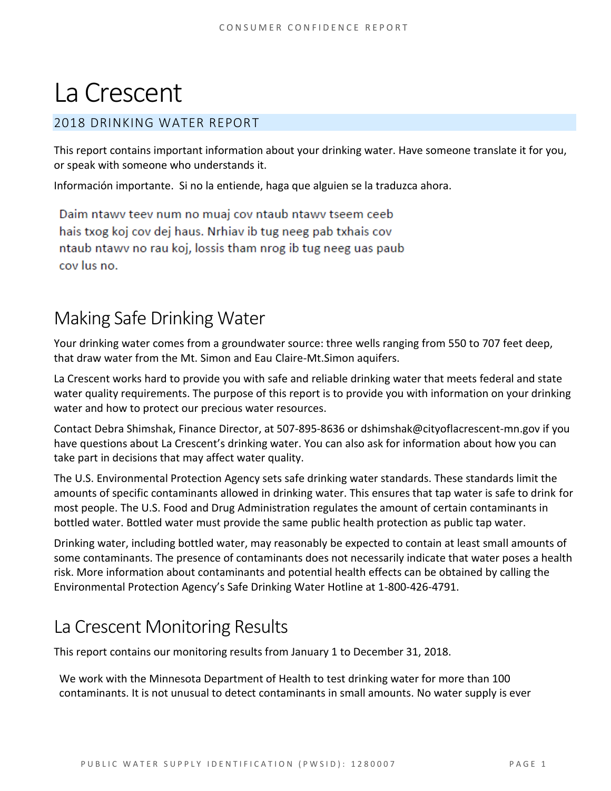# La Crescent

#### 2018 DRINKING WATER REPORT

This report contains important information about your drinking water. Have someone translate it for you, or speak with someone who understands it.

Información importante. Si no la entiende, haga que alguien se la traduzca ahora.

Daim ntawy teey num no muaj coy ntaub ntawy tseem ceeb hais txog koj cov dej haus. Nrhiav ib tug neeg pab txhais cov ntaub ntawy no rau koj, lossis tham nrog ib tug neeg uas paub cov lus no.

### Making Safe Drinking Water

Your drinking water comes from a groundwater source: three wells ranging from 550 to 707 feet deep, that draw water from the Mt. Simon and Eau Claire-Mt.Simon aquifers.

La Crescent works hard to provide you with safe and reliable drinking water that meets federal and state water quality requirements. The purpose of this report is to provide you with information on your drinking water and how to protect our precious water resources.

Contact Debra Shimshak, Finance Director, at 507-895-8636 or dshimshak@cityoflacrescent-mn.gov if you have questions about La Crescent's drinking water. You can also ask for information about how you can take part in decisions that may affect water quality.

The U.S. Environmental Protection Agency sets safe drinking water standards. These standards limit the amounts of specific contaminants allowed in drinking water. This ensures that tap water is safe to drink for most people. The U.S. Food and Drug Administration regulates the amount of certain contaminants in bottled water. Bottled water must provide the same public health protection as public tap water.

Drinking water, including bottled water, may reasonably be expected to contain at least small amounts of some contaminants. The presence of contaminants does not necessarily indicate that water poses a health risk. More information about contaminants and potential health effects can be obtained by calling the Environmental Protection Agency's Safe Drinking Water Hotline at 1-800-426-4791.

# La Crescent Monitoring Results

This report contains our monitoring results from January 1 to December 31, 2018.

We work with the Minnesota Department of Health to test drinking water for more than 100 contaminants. It is not unusual to detect contaminants in small amounts. No water supply is ever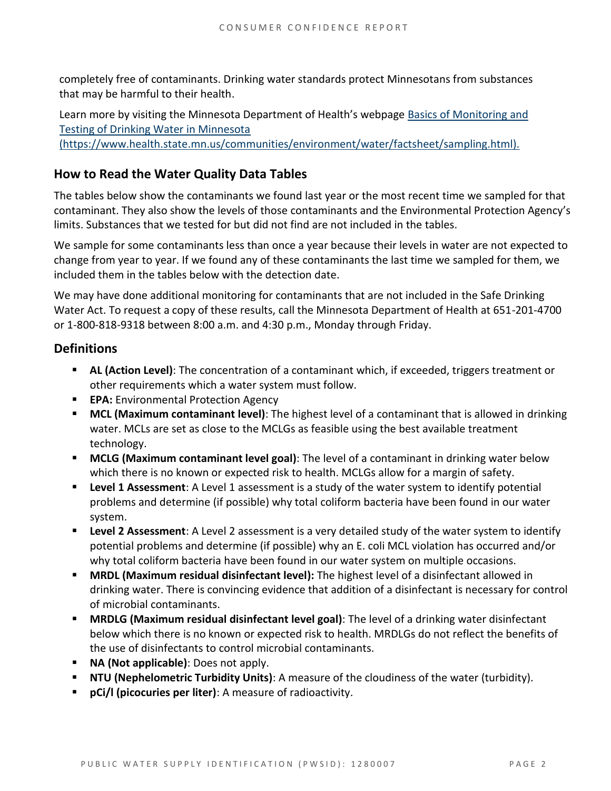completely free of contaminants. Drinking water standards protect Minnesotans from substances that may be harmful to their health.

Learn more by visiting the Minnesota Department of Health's webpage [Basics of Monitoring and](https://www.health.state.mn.us/communities/environment/water/factsheet/sampling.html)  [Testing of Drinking Water in Minnesota](https://www.health.state.mn.us/communities/environment/water/factsheet/sampling.html)  [\(https://www.health.state.mn.us/communities/environment/water/factsheet/sampling.html\).](https://www.health.state.mn.us/communities/environment/water/factsheet/sampling.html)

#### **How to Read the Water Quality Data Tables**

The tables below show the contaminants we found last year or the most recent time we sampled for that contaminant. They also show the levels of those contaminants and the Environmental Protection Agency's limits. Substances that we tested for but did not find are not included in the tables.

We sample for some contaminants less than once a year because their levels in water are not expected to change from year to year. If we found any of these contaminants the last time we sampled for them, we included them in the tables below with the detection date.

We may have done additional monitoring for contaminants that are not included in the Safe Drinking Water Act. To request a copy of these results, call the Minnesota Department of Health at 651-201-4700 or 1-800-818-9318 between 8:00 a.m. and 4:30 p.m., Monday through Friday.

#### **Definitions**

- **AL (Action Level)**: The concentration of a contaminant which, if exceeded, triggers treatment or other requirements which a water system must follow.
- **EPA:** Environmental Protection Agency
- **MCL (Maximum contaminant level)**: The highest level of a contaminant that is allowed in drinking water. MCLs are set as close to the MCLGs as feasible using the best available treatment technology.
- **MCLG (Maximum contaminant level goal)**: The level of a contaminant in drinking water below which there is no known or expected risk to health. MCLGs allow for a margin of safety.
- **Level 1 Assessment**: A Level 1 assessment is a study of the water system to identify potential problems and determine (if possible) why total coliform bacteria have been found in our water system.
- **Level 2 Assessment**: A Level 2 assessment is a very detailed study of the water system to identify potential problems and determine (if possible) why an E. coli MCL violation has occurred and/or why total coliform bacteria have been found in our water system on multiple occasions.
- **MRDL (Maximum residual disinfectant level):** The highest level of a disinfectant allowed in drinking water. There is convincing evidence that addition of a disinfectant is necessary for control of microbial contaminants.
- **MRDLG (Maximum residual disinfectant level goal)**: The level of a drinking water disinfectant below which there is no known or expected risk to health. MRDLGs do not reflect the benefits of the use of disinfectants to control microbial contaminants.
- **NA (Not applicable)**: Does not apply.
- **NTU (Nephelometric Turbidity Units)**: A measure of the cloudiness of the water (turbidity).
- **pCi/l (picocuries per liter)**: A measure of radioactivity.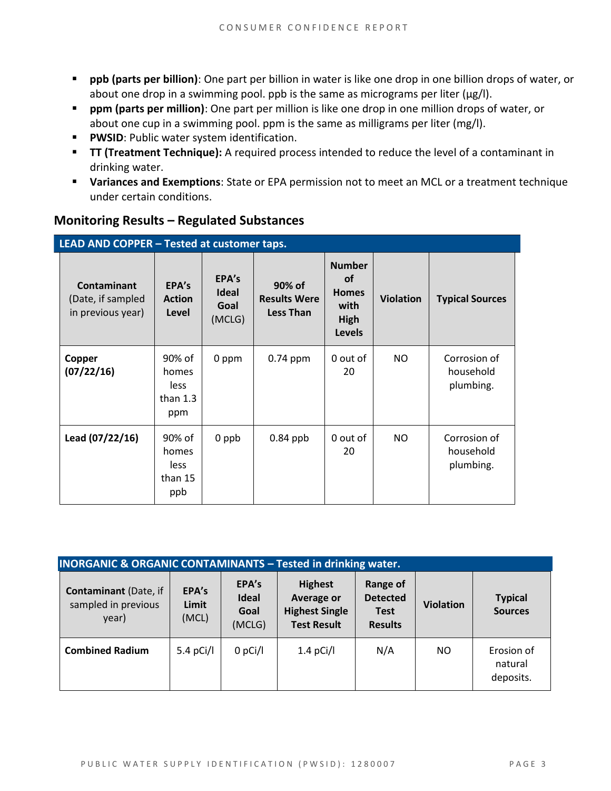- **ppb (parts per billion)**: One part per billion in water is like one drop in one billion drops of water, or about one drop in a swimming pool. ppb is the same as micrograms per liter (μg/l).
- **ppm (parts per million)**: One part per million is like one drop in one million drops of water, or about one cup in a swimming pool. ppm is the same as milligrams per liter (mg/l).
- **PWSID:** Public water system identification.
- **TT (Treatment Technique):** A required process intended to reduce the level of a contaminant in drinking water.
- **Variances and Exemptions**: State or EPA permission not to meet an MCL or a treatment technique under certain conditions.

| LEAD AND COPPER - Tested at customer taps.            |                                              |                                         |                                                   |                                                                                    |                  |                                        |  |  |
|-------------------------------------------------------|----------------------------------------------|-----------------------------------------|---------------------------------------------------|------------------------------------------------------------------------------------|------------------|----------------------------------------|--|--|
| Contaminant<br>(Date, if sampled<br>in previous year) | EPA's<br><b>Action</b><br>Level              | EPA's<br><b>Ideal</b><br>Goal<br>(MCLG) | 90% of<br><b>Results Were</b><br><b>Less Than</b> | <b>Number</b><br><b>of</b><br><b>Homes</b><br>with<br><b>High</b><br><b>Levels</b> | <b>Violation</b> | <b>Typical Sources</b>                 |  |  |
| Copper<br>(07/22/16)                                  | 90% of<br>homes<br>less<br>than $1.3$<br>ppm | 0 ppm                                   | $0.74$ ppm                                        | 0 out of<br>20                                                                     | <b>NO</b>        | Corrosion of<br>household<br>plumbing. |  |  |
| Lead (07/22/16)                                       | 90% of<br>homes<br>less<br>than 15<br>ppb    | 0 ppb                                   | $0.84$ ppb                                        | 0 out of<br>20                                                                     | <b>NO</b>        | Corrosion of<br>household<br>plumbing. |  |  |

#### **Monitoring Results – Regulated Substances**

| <b>INORGANIC &amp; ORGANIC CONTAMINANTS - Tested in drinking water.</b> |                         |                                         |                                                                                    |                                                              |                  |                                    |  |
|-------------------------------------------------------------------------|-------------------------|-----------------------------------------|------------------------------------------------------------------------------------|--------------------------------------------------------------|------------------|------------------------------------|--|
| <b>Contaminant (Date, if</b><br>sampled in previous<br>year)            | EPA's<br>Limit<br>(MCL) | EPA's<br><b>Ideal</b><br>Goal<br>(MCLG) | <b>Highest</b><br><b>Average or</b><br><b>Highest Single</b><br><b>Test Result</b> | Range of<br><b>Detected</b><br><b>Test</b><br><b>Results</b> | <b>Violation</b> | <b>Typical</b><br><b>Sources</b>   |  |
| <b>Combined Radium</b>                                                  | 5.4 pCi/l               | $0$ pCi/l                               | $1.4$ pCi/l                                                                        | N/A                                                          | NO               | Erosion of<br>natural<br>deposits. |  |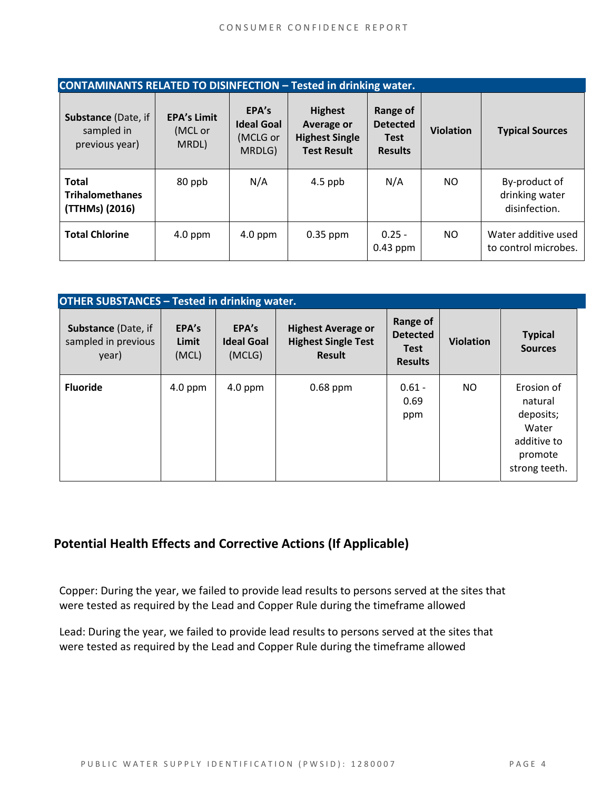| <b>CONTAMINANTS RELATED TO DISINFECTION - Tested in drinking water.</b> |                                        |                                                  |                                                                                    |                                                                     |                  |                                                  |  |  |
|-------------------------------------------------------------------------|----------------------------------------|--------------------------------------------------|------------------------------------------------------------------------------------|---------------------------------------------------------------------|------------------|--------------------------------------------------|--|--|
| Substance (Date, if<br>sampled in<br>previous year)                     | <b>EPA's Limit</b><br>(MCL or<br>MRDL) | EPA's<br><b>Ideal Goal</b><br>(MCLG or<br>MRDLG) | <b>Highest</b><br><b>Average or</b><br><b>Highest Single</b><br><b>Test Result</b> | <b>Range of</b><br><b>Detected</b><br><b>Test</b><br><b>Results</b> | <b>Violation</b> | <b>Typical Sources</b>                           |  |  |
| <b>Total</b><br><b>Trihalomethanes</b><br>(TTHMs) (2016)                | 80 ppb                                 | N/A                                              | $4.5$ ppb                                                                          | N/A                                                                 | NO.              | By-product of<br>drinking water<br>disinfection. |  |  |
| <b>Total Chlorine</b>                                                   | $4.0$ ppm                              | $4.0$ ppm                                        | $0.35$ ppm                                                                         | $0.25 -$<br>$0.43$ ppm                                              | NO.              | Water additive used<br>to control microbes.      |  |  |

| <b>OTHER SUBSTANCES - Tested in drinking water.</b>        |                         |                                      |                                                                          |                                                              |                  |                                                                                        |  |
|------------------------------------------------------------|-------------------------|--------------------------------------|--------------------------------------------------------------------------|--------------------------------------------------------------|------------------|----------------------------------------------------------------------------------------|--|
| <b>Substance (Date, if</b><br>sampled in previous<br>year) | EPA's<br>Limit<br>(MCL) | EPA's<br><b>Ideal Goal</b><br>(MCLG) | <b>Highest Average or</b><br><b>Highest Single Test</b><br><b>Result</b> | Range of<br><b>Detected</b><br><b>Test</b><br><b>Results</b> | <b>Violation</b> | <b>Typical</b><br><b>Sources</b>                                                       |  |
| <b>Fluoride</b>                                            | $4.0$ ppm               | $4.0$ ppm                            | $0.68$ ppm                                                               | $0.61 -$<br>0.69<br>ppm                                      | <b>NO</b>        | Erosion of<br>natural<br>deposits;<br>Water<br>additive to<br>promote<br>strong teeth. |  |

#### **Potential Health Effects and Corrective Actions (If Applicable)**

Copper: During the year, we failed to provide lead results to persons served at the sites that were tested as required by the Lead and Copper Rule during the timeframe allowed

Lead: During the year, we failed to provide lead results to persons served at the sites that were tested as required by the Lead and Copper Rule during the timeframe allowed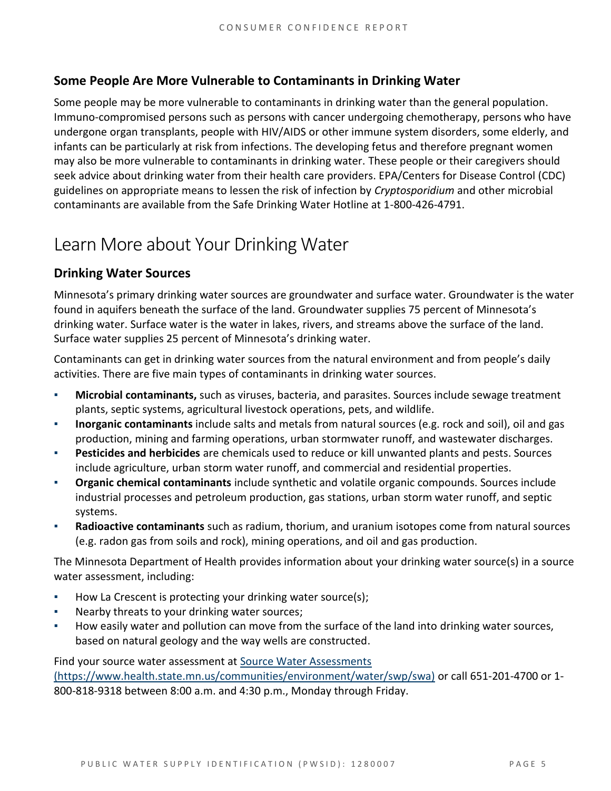#### **Some People Are More Vulnerable to Contaminants in Drinking Water**

Some people may be more vulnerable to contaminants in drinking water than the general population. Immuno-compromised persons such as persons with cancer undergoing chemotherapy, persons who have undergone organ transplants, people with HIV/AIDS or other immune system disorders, some elderly, and infants can be particularly at risk from infections. The developing fetus and therefore pregnant women may also be more vulnerable to contaminants in drinking water. These people or their caregivers should seek advice about drinking water from their health care providers. EPA/Centers for Disease Control (CDC) guidelines on appropriate means to lessen the risk of infection by *Cryptosporidium* and other microbial contaminants are available from the Safe Drinking Water Hotline at 1-800-426-4791.

## Learn More about Your Drinking Water

#### **Drinking Water Sources**

Minnesota's primary drinking water sources are groundwater and surface water. Groundwater is the water found in aquifers beneath the surface of the land. Groundwater supplies 75 percent of Minnesota's drinking water. Surface water is the water in lakes, rivers, and streams above the surface of the land. Surface water supplies 25 percent of Minnesota's drinking water.

Contaminants can get in drinking water sources from the natural environment and from people's daily activities. There are five main types of contaminants in drinking water sources.

- **Microbial contaminants,** such as viruses, bacteria, and parasites. Sources include sewage treatment plants, septic systems, agricultural livestock operations, pets, and wildlife.
- **Inorganic contaminants** include salts and metals from natural sources (e.g. rock and soil), oil and gas production, mining and farming operations, urban stormwater runoff, and wastewater discharges.
- **Pesticides and herbicides** are chemicals used to reduce or kill unwanted plants and pests. Sources include agriculture, urban storm water runoff, and commercial and residential properties.
- Organic chemical contaminants include synthetic and volatile organic compounds. Sources include industrial processes and petroleum production, gas stations, urban storm water runoff, and septic systems.
- **Radioactive contaminants** such as radium, thorium, and uranium isotopes come from natural sources (e.g. radon gas from soils and rock), mining operations, and oil and gas production.

The Minnesota Department of Health provides information about your drinking water source(s) in a source water assessment, including:

- How La Crescent is protecting your drinking water source(s);
- Nearby threats to your drinking water sources;
- How easily water and pollution can move from the surface of the land into drinking water sources, based on natural geology and the way wells are constructed.

Find your source water assessment at Source Water Assessments [\(https://www.health.state.mn.us/communities/environment/water/swp/swa\)](https://www.health.state.mn.us/communities/environment/water/swp/swa) or call 651-201-4700 or 1- 800-818-9318 between 8:00 a.m. and 4:30 p.m., Monday through Friday.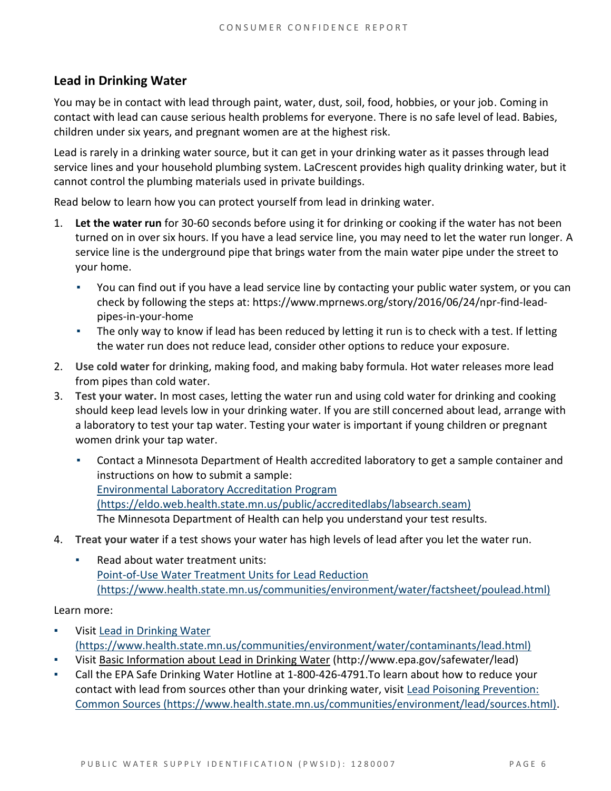#### **Lead in Drinking Water**

You may be in contact with lead through paint, water, dust, soil, food, hobbies, or your job. Coming in contact with lead can cause serious health problems for everyone. There is no safe level of lead. Babies, children under six years, and pregnant women are at the highest risk.

Lead is rarely in a drinking water source, but it can get in your drinking water as it passes through lead service lines and your household plumbing system. LaCrescent provides high quality drinking water, but it cannot control the plumbing materials used in private buildings.

Read below to learn how you can protect yourself from lead in drinking water.

- 1. **Let the water run** for 30-60 seconds before using it for drinking or cooking if the water has not been turned on in over six hours. If you have a lead service line, you may need to let the water run longer. A service line is the underground pipe that brings water from the main water pipe under the street to your home.
	- You can find out if you have a lead service line by contacting your public water system, or you can check by following the steps at: [https://www.mprnews.org/story/2016/06/24/npr-find-lead](https://www.mprnews.org/story/2016/06/24/npr-find-lead-pipes-in-your-home)[pipes-in-your-home](https://www.mprnews.org/story/2016/06/24/npr-find-lead-pipes-in-your-home)
	- The only way to know if lead has been reduced by letting it run is to check with a test. If letting the water run does not reduce lead, consider other options to reduce your exposure.
- 2. **Use cold water** for drinking, making food, and making baby formula. Hot water releases more lead from pipes than cold water.
- 3. **Test your water.** In most cases, letting the water run and using cold water for drinking and cooking should keep lead levels low in your drinking water. If you are still concerned about lead, arrange with a laboratory to test your tap water. Testing your water is important if young children or pregnant women drink your tap water.
	- Contact a Minnesota Department of Health accredited laboratory to get a sample container and instructions on how to submit a sample: [Environmental Laboratory Accreditation Program](https://eldo.web.health.state.mn.us/public/accreditedlabs/labsearch.seam)  [\(https://eldo.web.health.state.mn.us/public/accreditedlabs/labsearch.seam\)](https://eldo.web.health.state.mn.us/public/accreditedlabs/labsearch.seam)  The Minnesota Department of Health can help you understand your test results.
- 4. **Treat your water** if a test shows your water has high levels of lead after you let the water run.
	- Read about water treatment units: [Point-of-Use Water Treatment Units for Lead Reduction](https://www.health.state.mn.us/communities/environment/water/factsheet/poulead.html)  [\(https://www.health.state.mn.us/communities/environment/water/factsheet/poulead.html\)](https://www.health.state.mn.us/communities/environment/water/factsheet/poulead.html)

Learn more:

- Visit Lead in Drinking Water [\(https://www.health.state.mn.us/communities/environment/water/contaminants/lead.html\)](https://www.health.state.mn.us/communities/environment/water/contaminants/lead.html)
- Visit [Basic Information about Lead in Drinking Water \(http://www.epa.gov/safewater/lead\)](http://www.epa.gov/safewater/lead)
- Call the EPA Safe Drinking Water Hotline at 1-800-426-4791.To learn about how to reduce your contact with lead from sources other than your drinking water, visit [Lead Poisoning Prevention:](https://www.health.state.mn.us/communities/environment/lead/sources.html)  [Common Sources \(https://www.health.state.mn.us/communities/environment/lead/sources.html\).](https://www.health.state.mn.us/communities/environment/lead/sources.html)